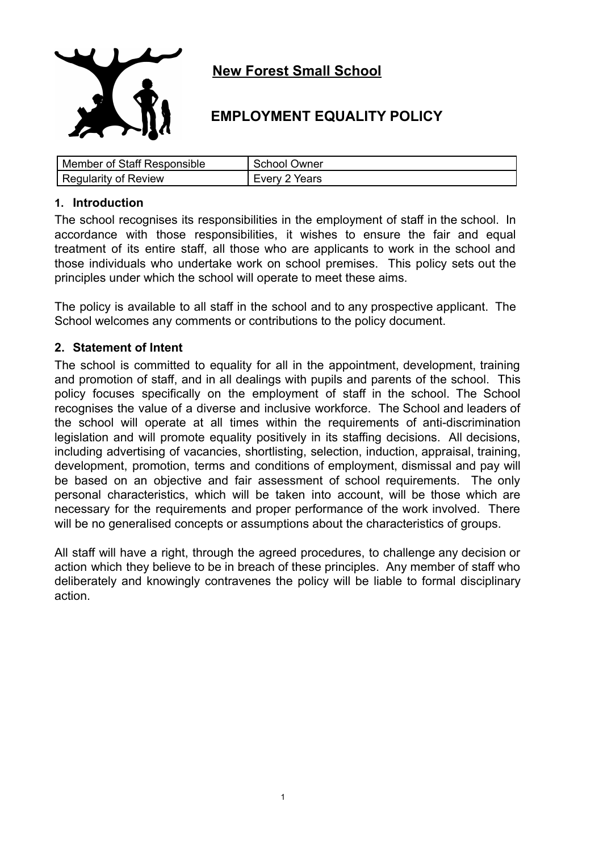

# **New Forest Small School**

## **EMPLOYMENT EQUALITY POLICY**

| Member of Staff Responsible | <b>School Owner</b> |
|-----------------------------|---------------------|
| <b>Regularity of Review</b> | Every 2 Years       |

#### **1. Introduction**

The school recognises its responsibilities in the employment of staff in the school. In accordance with those responsibilities, it wishes to ensure the fair and equal treatment of its entire staff, all those who are applicants to work in the school and those individuals who undertake work on school premises. This policy sets out the principles under which the school will operate to meet these aims.

The policy is available to all staff in the school and to any prospective applicant. The School welcomes any comments or contributions to the policy document.

#### **2. Statement of Intent**

The school is committed to equality for all in the appointment, development, training and promotion of staff, and in all dealings with pupils and parents of the school. This policy focuses specifically on the employment of staff in the school. The School recognises the value of a diverse and inclusive workforce. The School and leaders of the school will operate at all times within the requirements of anti-discrimination legislation and will promote equality positively in its staffing decisions. All decisions, including advertising of vacancies, shortlisting, selection, induction, appraisal, training, development, promotion, terms and conditions of employment, dismissal and pay will be based on an objective and fair assessment of school requirements. The only personal characteristics, which will be taken into account, will be those which are necessary for the requirements and proper performance of the work involved. There will be no generalised concepts or assumptions about the characteristics of groups.

All staff will have a right, through the agreed procedures, to challenge any decision or action which they believe to be in breach of these principles. Any member of staff who deliberately and knowingly contravenes the policy will be liable to formal disciplinary action.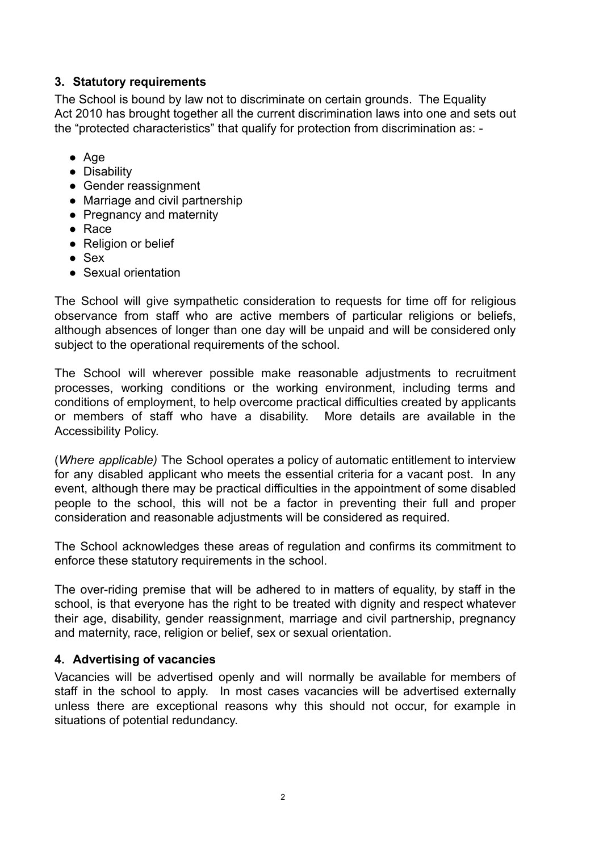### **3. Statutory requirements**

The School is bound by law not to discriminate on certain grounds. The Equality Act 2010 has brought together all the current discrimination laws into one and sets out the "protected characteristics" that qualify for protection from discrimination as: -

- Age
- Disability
- Gender reassignment
- Marriage and civil partnership
- Pregnancy and maternity
- Race
- Religion or belief
- Sex
- Sexual orientation

The School will give sympathetic consideration to requests for time off for religious observance from staff who are active members of particular religions or beliefs, although absences of longer than one day will be unpaid and will be considered only subject to the operational requirements of the school.

The School will wherever possible make reasonable adjustments to recruitment processes, working conditions or the working environment, including terms and conditions of employment, to help overcome practical difficulties created by applicants or members of staff who have a disability. More details are available in the Accessibility Policy.

(*Where applicable)* The School operates a policy of automatic entitlement to interview for any disabled applicant who meets the essential criteria for a vacant post. In any event, although there may be practical difficulties in the appointment of some disabled people to the school, this will not be a factor in preventing their full and proper consideration and reasonable adjustments will be considered as required.

The School acknowledges these areas of regulation and confirms its commitment to enforce these statutory requirements in the school.

The over-riding premise that will be adhered to in matters of equality, by staff in the school, is that everyone has the right to be treated with dignity and respect whatever their age, disability, gender reassignment, marriage and civil partnership, pregnancy and maternity, race, religion or belief, sex or sexual orientation.

### **4. Advertising of vacancies**

Vacancies will be advertised openly and will normally be available for members of staff in the school to apply. In most cases vacancies will be advertised externally unless there are exceptional reasons why this should not occur, for example in situations of potential redundancy.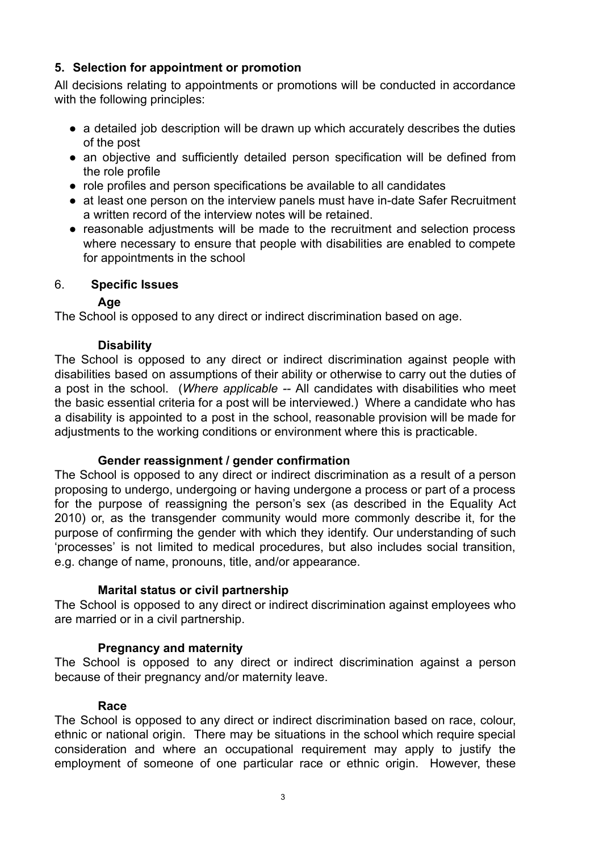### **5. Selection for appointment or promotion**

All decisions relating to appointments or promotions will be conducted in accordance with the following principles:

- a detailed job description will be drawn up which accurately describes the duties of the post
- an objective and sufficiently detailed person specification will be defined from the role profile
- role profiles and person specifications be available to all candidates
- at least one person on the interview panels must have in-date Safer Recruitment a written record of the interview notes will be retained.
- reasonable adjustments will be made to the recruitment and selection process where necessary to ensure that people with disabilities are enabled to compete for appointments in the school

### 6. **Specific Issues**

### **Age**

The School is opposed to any direct or indirect discrimination based on age.

### **Disability**

The School is opposed to any direct or indirect discrimination against people with disabilities based on assumptions of their ability or otherwise to carry out the duties of a post in the school. (*Where applicable --* All candidates with disabilities who meet the basic essential criteria for a post will be interviewed.) Where a candidate who has a disability is appointed to a post in the school, reasonable provision will be made for adjustments to the working conditions or environment where this is practicable.

### **Gender reassignment / gender confirmation**

The School is opposed to any direct or indirect discrimination as a result of a person proposing to undergo, undergoing or having undergone a process or part of a process for the purpose of reassigning the person's sex (as described in the Equality Act 2010) or, as the transgender community would more commonly describe it, for the purpose of confirming the gender with which they identify. Our understanding of such 'processes' is not limited to medical procedures, but also includes social transition, e.g. change of name, pronouns, title, and/or appearance.

### **Marital status or civil partnership**

The School is opposed to any direct or indirect discrimination against employees who are married or in a civil partnership.

## **Pregnancy and maternity**

The School is opposed to any direct or indirect discrimination against a person because of their pregnancy and/or maternity leave.

### **Race**

The School is opposed to any direct or indirect discrimination based on race, colour, ethnic or national origin. There may be situations in the school which require special consideration and where an occupational requirement may apply to justify the employment of someone of one particular race or ethnic origin. However, these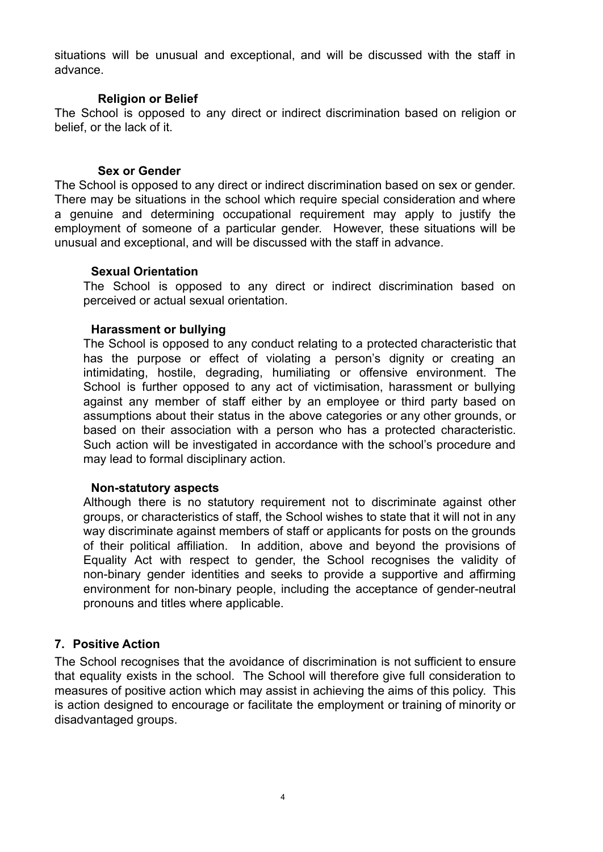situations will be unusual and exceptional, and will be discussed with the staff in advance.

#### **Religion or Belief**

The School is opposed to any direct or indirect discrimination based on religion or belief, or the lack of it.

#### **Sex or Gender**

The School is opposed to any direct or indirect discrimination based on sex or gender. There may be situations in the school which require special consideration and where a genuine and determining occupational requirement may apply to justify the employment of someone of a particular gender. However, these situations will be unusual and exceptional, and will be discussed with the staff in advance.

#### **Sexual Orientation**

The School is opposed to any direct or indirect discrimination based on perceived or actual sexual orientation.

#### **Harassment or bullying**

The School is opposed to any conduct relating to a protected characteristic that has the purpose or effect of violating a person's dignity or creating an intimidating, hostile, degrading, humiliating or offensive environment. The School is further opposed to any act of victimisation, harassment or bullying against any member of staff either by an employee or third party based on assumptions about their status in the above categories or any other grounds, or based on their association with a person who has a protected characteristic. Such action will be investigated in accordance with the school's procedure and may lead to formal disciplinary action.

#### **Non-statutory aspects**

Although there is no statutory requirement not to discriminate against other groups, or characteristics of staff, the School wishes to state that it will not in any way discriminate against members of staff or applicants for posts on the grounds of their political affiliation. In addition, above and beyond the provisions of Equality Act with respect to gender, the School recognises the validity of non-binary gender identities and seeks to provide a supportive and affirming environment for non-binary people, including the acceptance of gender-neutral pronouns and titles where applicable.

#### **7. Positive Action**

The School recognises that the avoidance of discrimination is not sufficient to ensure that equality exists in the school. The School will therefore give full consideration to measures of positive action which may assist in achieving the aims of this policy. This is action designed to encourage or facilitate the employment or training of minority or disadvantaged groups.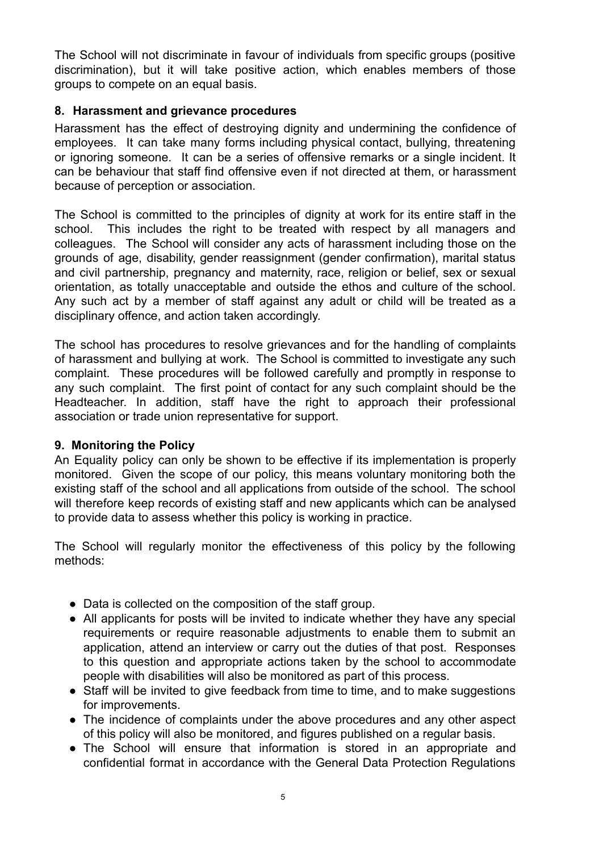The School will not discriminate in favour of individuals from specific groups (positive discrimination), but it will take positive action, which enables members of those groups to compete on an equal basis.

### **8. Harassment and grievance procedures**

Harassment has the effect of destroying dignity and undermining the confidence of employees. It can take many forms including physical contact, bullying, threatening or ignoring someone. It can be a series of offensive remarks or a single incident. It can be behaviour that staff find offensive even if not directed at them, or harassment because of perception or association.

The School is committed to the principles of dignity at work for its entire staff in the school. This includes the right to be treated with respect by all managers and colleagues. The School will consider any acts of harassment including those on the grounds of age, disability, gender reassignment (gender confirmation), marital status and civil partnership, pregnancy and maternity, race, religion or belief, sex or sexual orientation, as totally unacceptable and outside the ethos and culture of the school. Any such act by a member of staff against any adult or child will be treated as a disciplinary offence, and action taken accordingly.

The school has procedures to resolve grievances and for the handling of complaints of harassment and bullying at work. The School is committed to investigate any such complaint. These procedures will be followed carefully and promptly in response to any such complaint. The first point of contact for any such complaint should be the Headteacher. In addition, staff have the right to approach their professional association or trade union representative for support.

### **9. Monitoring the Policy**

An Equality policy can only be shown to be effective if its implementation is properly monitored. Given the scope of our policy, this means voluntary monitoring both the existing staff of the school and all applications from outside of the school. The school will therefore keep records of existing staff and new applicants which can be analysed to provide data to assess whether this policy is working in practice.

The School will regularly monitor the effectiveness of this policy by the following methods:

- Data is collected on the composition of the staff group.
- All applicants for posts will be invited to indicate whether they have any special requirements or require reasonable adjustments to enable them to submit an application, attend an interview or carry out the duties of that post. Responses to this question and appropriate actions taken by the school to accommodate people with disabilities will also be monitored as part of this process.
- Staff will be invited to give feedback from time to time, and to make suggestions for improvements.
- The incidence of complaints under the above procedures and any other aspect of this policy will also be monitored, and figures published on a regular basis.
- The School will ensure that information is stored in an appropriate and confidential format in accordance with the General Data Protection Regulations